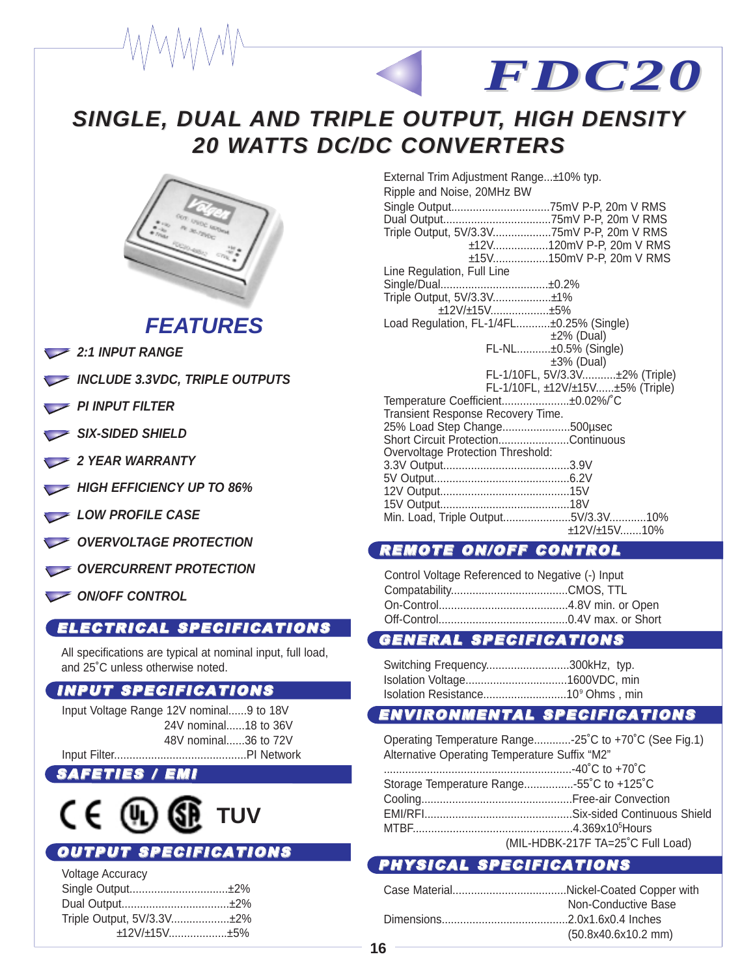# **SINGLE, DUAL SINGLE, DUAL AND TRIPLE OUTPUT AND TRIPLE OUTPUT, HIGH DENSITY , HIGH DENSITY 20 WATTS DC/DC CONVERTERS**



# **FEATURES**

- **2:1 INPUT RANGE**
- **INCLUDE 3.3VDC, TRIPLE OUTPUTS**
- **PI INPUT FILTER**
- SIX-SIDED SHIELD
- **2 YEAR WARRANTY**
- **HIGH EFFICIENCY UP TO 86%**
- LOW PROFILE CASE
- **OVERVOLTAGE PROTECTION**
- **OVERCURRENT PROTECTION**
- **ON/OFF CONTROL**

## ELECTRICAL SPECIFICATIONS

All specifications are typical at nominal input, full load, and 25˚C unless otherwise noted.

### INPUT SPECIFICATIONS

Input Voltage Range 12V nominal......9 to 18V 24V nominal......18 to 36V 48V nominal......36 to 72V Input Filter...........................................PI Network

### **SAFETIES**



# OUTPUT SPECIFICATIONS

| <b>Voltage Accuracy</b>   |  |
|---------------------------|--|
|                           |  |
|                           |  |
| Triple Output, 5V/3.3V±2% |  |
| ±12V/±15V±5%              |  |

| External Trim Adjustment Range±10% typ.<br>Ripple and Noise, 20MHz BW |
|-----------------------------------------------------------------------|
|                                                                       |
|                                                                       |
| Triple Output, 5V/3.3V75mV P-P, 20m V RMS                             |
| ±12V120mV P-P, 20m V RMS                                              |
| ±15V150mV P-P, 20m V RMS                                              |
| Line Regulation, Full Line                                            |
|                                                                       |
|                                                                       |
| ±12V/±15V±5%                                                          |
| Load Regulation, FL-1/4FL±0.25% (Single)                              |
| $±2\%$ (Dual)                                                         |
| FL-NL±0.5% (Single)                                                   |
| $±3%$ (Dual)                                                          |
| FL-1/10FL, 5V/3.3V±2% (Triple)                                        |
| FL-1/10FL, ±12V/±15V±5% (Triple)                                      |
| Temperature Coefficient±0.02%/°C                                      |
| Transient Response Recovery Time.                                     |
| 25% Load Step Change500µsec                                           |
| Short Circuit ProtectionContinuous                                    |
| <b>Overvoltage Protection Threshold:</b>                              |
|                                                                       |
|                                                                       |
|                                                                       |
|                                                                       |
| $+12V/+15V$ <sub>10%</sub>                                            |
|                                                                       |

*FDC20*

### REMOTE ON/OFF CONTROL

| Control Voltage Referenced to Negative (-) Input |  |
|--------------------------------------------------|--|
|                                                  |  |
|                                                  |  |
|                                                  |  |

### GENERAL SPECIFICATIONS

| Switching Frequency300kHz, typ.               |  |
|-----------------------------------------------|--|
|                                               |  |
| Isolation Resistance10 <sup>9</sup> Ohms, min |  |

### ENVIRONMENTAL SPECIFICATIONS

Operating Temperature Range............-25˚C to +70˚C (See Fig.1) Alternative Operating Temperature Suffix "M2" .............................................................-40˚C to +70˚C Storage Temperature Range................-55˚C to +125˚C Cooling.................................................Free-air Convection EMI/RFI................................................Six-sided Continuous Shield MTBF....................................................4.369x10<sup>5</sup> Hours (MIL-HDBK-217F TA=25˚C Full Load)

### PHYSICAL SPECIFICATIONS

| Non-Conductive Base |
|---------------------|
|                     |
| (50.8x40.6x10.2 mm) |